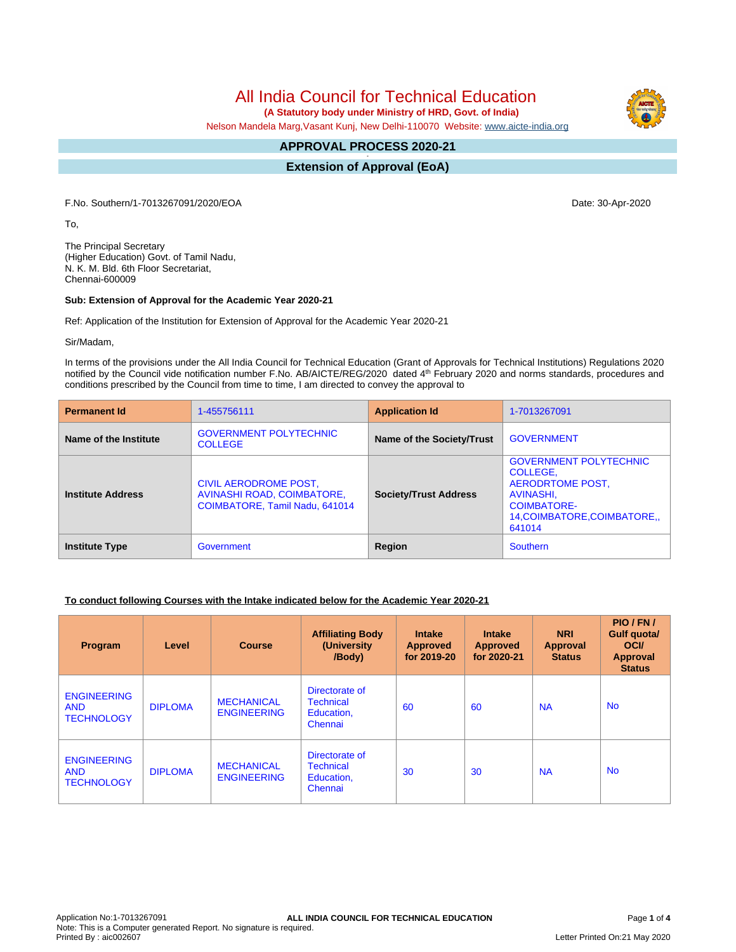# All India Council for Technical Education

 **(A Statutory body under Ministry of HRD, Govt. of India)**

Nelson Mandela Marg,Vasant Kunj, New Delhi-110070 Website: [www.aicte-india.org](http://www.aicte-india.org)

#### **APPROVAL PROCESS 2020-21 -**

**Extension of Approval (EoA)**

F.No. Southern/1-7013267091/2020/EOA Date: 30-Apr-2020

To,

The Principal Secretary (Higher Education) Govt. of Tamil Nadu, N. K. M. Bld. 6th Floor Secretariat, Chennai-600009

#### **Sub: Extension of Approval for the Academic Year 2020-21**

Ref: Application of the Institution for Extension of Approval for the Academic Year 2020-21

Sir/Madam,

In terms of the provisions under the All India Council for Technical Education (Grant of Approvals for Technical Institutions) Regulations 2020 notified by the Council vide notification number F.No. AB/AICTE/REG/2020 dated 4<sup>th</sup> February 2020 and norms standards, procedures and conditions prescribed by the Council from time to time, I am directed to convey the approval to

| <b>Permanent Id</b>      | 1-455756111                                                                           | <b>Application Id</b>        | 1-7013267091                                                                                                                              |  |
|--------------------------|---------------------------------------------------------------------------------------|------------------------------|-------------------------------------------------------------------------------------------------------------------------------------------|--|
| Name of the Institute    | <b>GOVERNMENT POLYTECHNIC</b><br><b>COLLEGE</b>                                       | Name of the Society/Trust    | <b>GOVERNMENT</b>                                                                                                                         |  |
| <b>Institute Address</b> | CIVIL AERODROME POST,<br>AVINASHI ROAD, COIMBATORE,<br>COIMBATORE, Tamil Nadu, 641014 | <b>Society/Trust Address</b> | <b>GOVERNMENT POLYTECHNIC</b><br>COLLEGE,<br>AERODRTOME POST,<br>AVINASHI,<br><b>COIMBATORE-</b><br>14, COIMBATORE, COIMBATORE,<br>641014 |  |
| <b>Institute Type</b>    | Government                                                                            | Region                       | Southern                                                                                                                                  |  |

#### **To conduct following Courses with the Intake indicated below for the Academic Year 2020-21**

| Program                                               | Level          | <b>Course</b>                           | <b>Affiliating Body</b><br>(University)<br>/Body)           | <b>Intake</b><br><b>Approved</b><br>for 2019-20 | <b>Intake</b><br><b>Approved</b><br>for 2020-21 | <b>NRI</b><br><b>Approval</b><br><b>Status</b> | PIO/FN/<br><b>Gulf quotal</b><br><b>OCI</b><br><b>Approval</b><br><b>Status</b> |
|-------------------------------------------------------|----------------|-----------------------------------------|-------------------------------------------------------------|-------------------------------------------------|-------------------------------------------------|------------------------------------------------|---------------------------------------------------------------------------------|
| <b>ENGINEERING</b><br><b>AND</b><br><b>TECHNOLOGY</b> | <b>DIPLOMA</b> | <b>MECHANICAL</b><br><b>ENGINEERING</b> | Directorate of<br><b>Technical</b><br>Education,<br>Chennai | 60                                              | 60                                              | <b>NA</b>                                      | <b>No</b>                                                                       |
| <b>ENGINEERING</b><br><b>AND</b><br><b>TECHNOLOGY</b> | <b>DIPLOMA</b> | <b>MECHANICAL</b><br><b>ENGINEERING</b> | Directorate of<br><b>Technical</b><br>Education,<br>Chennai | 30                                              | 30                                              | <b>NA</b>                                      | <b>No</b>                                                                       |

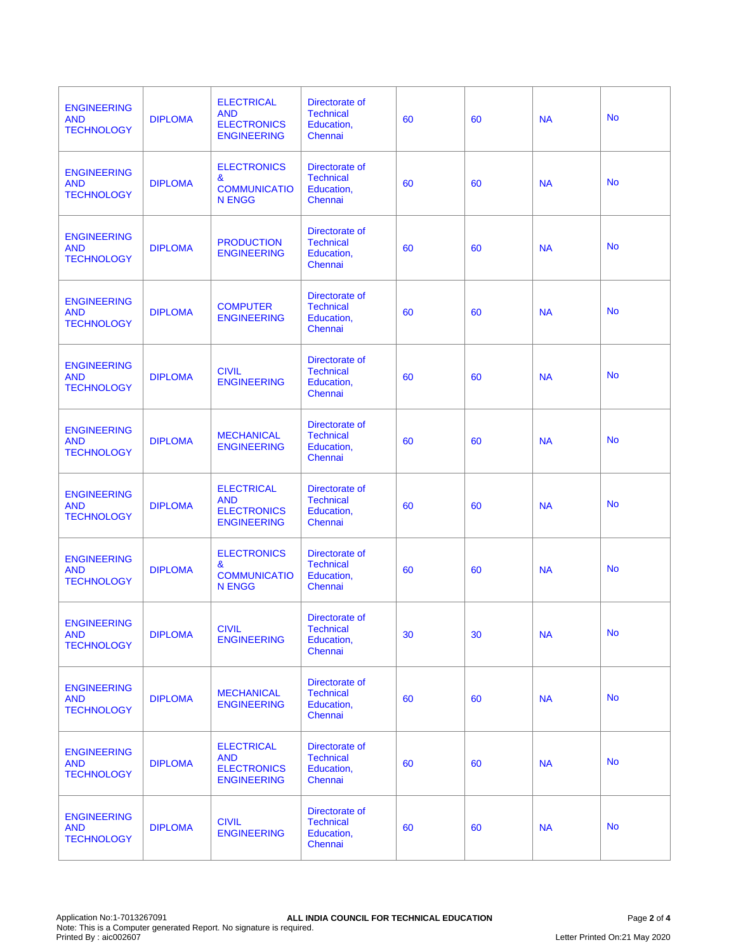| <b>ENGINEERING</b><br><b>AND</b><br><b>TECHNOLOGY</b> | <b>DIPLOMA</b> | <b>ELECTRICAL</b><br><b>AND</b><br><b>ELECTRONICS</b><br><b>ENGINEERING</b> | Directorate of<br><b>Technical</b><br>Education,<br>Chennai | 60 | 60 | <b>NA</b> | <b>No</b> |
|-------------------------------------------------------|----------------|-----------------------------------------------------------------------------|-------------------------------------------------------------|----|----|-----------|-----------|
| <b>ENGINEERING</b><br><b>AND</b><br><b>TECHNOLOGY</b> | <b>DIPLOMA</b> | <b>ELECTRONICS</b><br>&<br><b>COMMUNICATIO</b><br><b>N ENGG</b>             | Directorate of<br><b>Technical</b><br>Education,<br>Chennai | 60 | 60 | <b>NA</b> | <b>No</b> |
| <b>ENGINEERING</b><br><b>AND</b><br><b>TECHNOLOGY</b> | <b>DIPLOMA</b> | <b>PRODUCTION</b><br><b>ENGINEERING</b>                                     | Directorate of<br><b>Technical</b><br>Education,<br>Chennai | 60 | 60 | <b>NA</b> | <b>No</b> |
| <b>ENGINEERING</b><br><b>AND</b><br><b>TECHNOLOGY</b> | <b>DIPLOMA</b> | <b>COMPUTER</b><br><b>ENGINEERING</b>                                       | Directorate of<br><b>Technical</b><br>Education,<br>Chennai | 60 | 60 | <b>NA</b> | <b>No</b> |
| <b>ENGINEERING</b><br><b>AND</b><br><b>TECHNOLOGY</b> | <b>DIPLOMA</b> | <b>CIVIL</b><br><b>ENGINEERING</b>                                          | Directorate of<br><b>Technical</b><br>Education,<br>Chennai | 60 | 60 | <b>NA</b> | <b>No</b> |
| <b>ENGINEERING</b><br><b>AND</b><br><b>TECHNOLOGY</b> | <b>DIPLOMA</b> | <b>MECHANICAL</b><br><b>ENGINEERING</b>                                     | Directorate of<br><b>Technical</b><br>Education,<br>Chennai | 60 | 60 | <b>NA</b> | <b>No</b> |
| <b>ENGINEERING</b><br><b>AND</b><br><b>TECHNOLOGY</b> | <b>DIPLOMA</b> | <b>ELECTRICAL</b><br><b>AND</b><br><b>ELECTRONICS</b><br><b>ENGINEERING</b> | Directorate of<br><b>Technical</b><br>Education,<br>Chennai | 60 | 60 | <b>NA</b> | <b>No</b> |
| <b>ENGINEERING</b><br><b>AND</b><br><b>TECHNOLOGY</b> | <b>DIPLOMA</b> | <b>ELECTRONICS</b><br>&<br><b>COMMUNICATIO</b><br><b>N ENGG</b>             | Directorate of<br><b>Technical</b><br>Education,<br>Chennai | 60 | 60 | <b>NA</b> | <b>No</b> |
| <b>ENGINEERING</b><br><b>AND</b><br><b>TECHNOLOGY</b> | <b>DIPLOMA</b> | <b>CIVIL</b><br><b>ENGINEERING</b>                                          | Directorate of<br><b>Technical</b><br>Education,<br>Chennai | 30 | 30 | <b>NA</b> | <b>No</b> |
| <b>ENGINEERING</b><br><b>AND</b><br><b>TECHNOLOGY</b> | <b>DIPLOMA</b> | <b>MECHANICAL</b><br><b>ENGINEERING</b>                                     | Directorate of<br><b>Technical</b><br>Education,<br>Chennai | 60 | 60 | <b>NA</b> | <b>No</b> |
| <b>ENGINEERING</b><br><b>AND</b><br><b>TECHNOLOGY</b> | <b>DIPLOMA</b> | <b>ELECTRICAL</b><br><b>AND</b><br><b>ELECTRONICS</b><br><b>ENGINEERING</b> | Directorate of<br><b>Technical</b><br>Education,<br>Chennai | 60 | 60 | <b>NA</b> | <b>No</b> |
| <b>ENGINEERING</b><br><b>AND</b><br><b>TECHNOLOGY</b> | <b>DIPLOMA</b> | <b>CIVIL</b><br><b>ENGINEERING</b>                                          | Directorate of<br><b>Technical</b><br>Education,<br>Chennai | 60 | 60 | <b>NA</b> | <b>No</b> |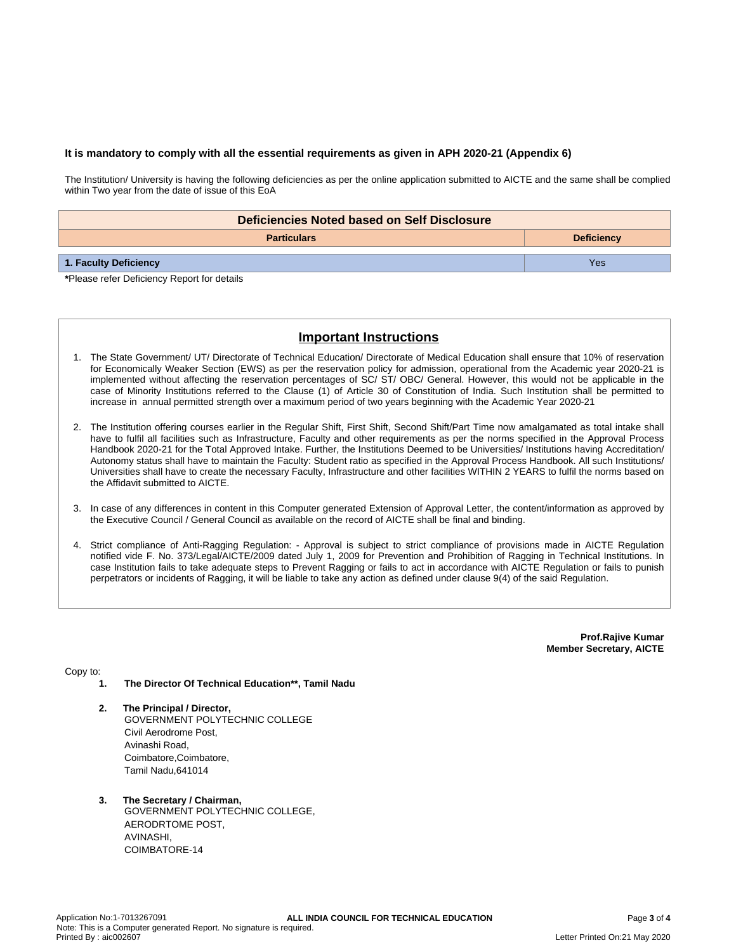#### **It is mandatory to comply with all the essential requirements as given in APH 2020-21 (Appendix 6)**

The Institution/ University is having the following deficiencies as per the online application submitted to AICTE and the same shall be complied within Two year from the date of issue of this EoA

| Deficiencies Noted based on Self Disclosure |                   |  |  |  |
|---------------------------------------------|-------------------|--|--|--|
| <b>Particulars</b>                          | <b>Deficiency</b> |  |  |  |
| 1. Faculty Deficiency                       | Yes               |  |  |  |

**\***Please refer Deficiency Report for details

## **Important Instructions**

- 1. The State Government/ UT/ Directorate of Technical Education/ Directorate of Medical Education shall ensure that 10% of reservation for Economically Weaker Section (EWS) as per the reservation policy for admission, operational from the Academic year 2020-21 is implemented without affecting the reservation percentages of SC/ ST/ OBC/ General. However, this would not be applicable in the case of Minority Institutions referred to the Clause (1) of Article 30 of Constitution of India. Such Institution shall be permitted to increase in annual permitted strength over a maximum period of two years beginning with the Academic Year 2020-21
- 2. The Institution offering courses earlier in the Regular Shift, First Shift, Second Shift/Part Time now amalgamated as total intake shall have to fulfil all facilities such as Infrastructure, Faculty and other requirements as per the norms specified in the Approval Process Handbook 2020-21 for the Total Approved Intake. Further, the Institutions Deemed to be Universities/ Institutions having Accreditation/ Autonomy status shall have to maintain the Faculty: Student ratio as specified in the Approval Process Handbook. All such Institutions/ Universities shall have to create the necessary Faculty, Infrastructure and other facilities WITHIN 2 YEARS to fulfil the norms based on the Affidavit submitted to AICTE.
- 3. In case of any differences in content in this Computer generated Extension of Approval Letter, the content/information as approved by the Executive Council / General Council as available on the record of AICTE shall be final and binding.
- 4. Strict compliance of Anti-Ragging Regulation: Approval is subject to strict compliance of provisions made in AICTE Regulation notified vide F. No. 373/Legal/AICTE/2009 dated July 1, 2009 for Prevention and Prohibition of Ragging in Technical Institutions. In case Institution fails to take adequate steps to Prevent Ragging or fails to act in accordance with AICTE Regulation or fails to punish perpetrators or incidents of Ragging, it will be liable to take any action as defined under clause 9(4) of the said Regulation.

**Prof.Rajive Kumar Member Secretary, AICTE**

Copy to:

- **1. The Director Of Technical Education\*\*, Tamil Nadu**
- **2. The Principal / Director,** GOVERNMENT POLYTECHNIC COLLEGE Civil Aerodrome Post, Avinashi Road, Coimbatore,Coimbatore, Tamil Nadu,641014
- **3. The Secretary / Chairman,** GOVERNMENT POLYTECHNIC COLLEGE, AERODRTOME POST, AVINASHI, COIMBATORE-14